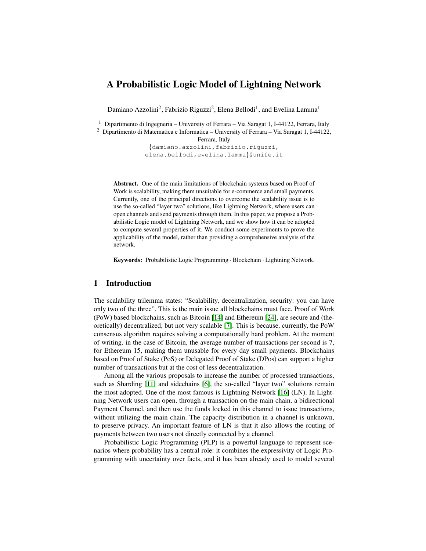# A Probabilistic Logic Model of Lightning Network

Damiano Azzolini<sup>2</sup>, Fabrizio Riguzzi<sup>2</sup>, Elena Bellodi<sup>1</sup>, and Evelina Lamma<sup>1</sup>

<sup>1</sup> Dipartimento di Ingegneria – University of Ferrara – Via Saragat 1, I-44122, Ferrara, Italy

<sup>2</sup> Dipartimento di Matematica e Informatica – University of Ferrara – Via Saragat 1, I-44122,

Ferrara, Italy

{damiano.azzolini,fabrizio.riguzzi, elena.bellodi,evelina.lamma}@unife.it

Abstract. One of the main limitations of blockchain systems based on Proof of Work is scalability, making them unsuitable for e-commerce and small payments. Currently, one of the principal directions to overcome the scalability issue is to use the so-called "layer two" solutions, like Lightning Network, where users can open channels and send payments through them. In this paper, we propose a Probabilistic Logic model of Lightning Network, and we show how it can be adopted to compute several properties of it. We conduct some experiments to prove the applicability of the model, rather than providing a comprehensive analysis of the network.

Keywords: Probabilistic Logic Programming · Blockchain · Lightning Network.

# 1 Introduction

The scalability trilemma states: "Scalability, decentralization, security: you can have only two of the three". This is the main issue all blockchains must face. Proof of Work (PoW) based blockchains, such as Bitcoin [\[14\]](#page-10-0) and Ethereum [\[24\]](#page-11-0), are secure and (theoretically) decentralized, but not very scalable [\[7\]](#page-10-1). This is because, currently, the PoW consensus algorithm requires solving a computationally hard problem. At the moment of writing, in the case of Bitcoin, the average number of transactions per second is 7, for Ethereum 15, making them unusable for every day small payments. Blockchains based on Proof of Stake (PoS) or Delegated Proof of Stake (DPos) can support a higher number of transactions but at the cost of less decentralization.

Among all the various proposals to increase the number of processed transactions, such as Sharding [\[11\]](#page-10-2) and sidechains [\[6\]](#page-10-3), the so-called "layer two" solutions remain the most adopted. One of the most famous is Lightning Network [\[16\]](#page-11-1) (LN). In Lightning Network users can open, through a transaction on the main chain, a bidirectional Payment Channel, and then use the funds locked in this channel to issue transactions, without utilizing the main chain. The capacity distribution in a channel is unknown, to preserve privacy. An important feature of LN is that it also allows the routing of payments between two users not directly connected by a channel.

Probabilistic Logic Programming (PLP) is a powerful language to represent scenarios where probability has a central role: it combines the expressivity of Logic Programming with uncertainty over facts, and it has been already used to model several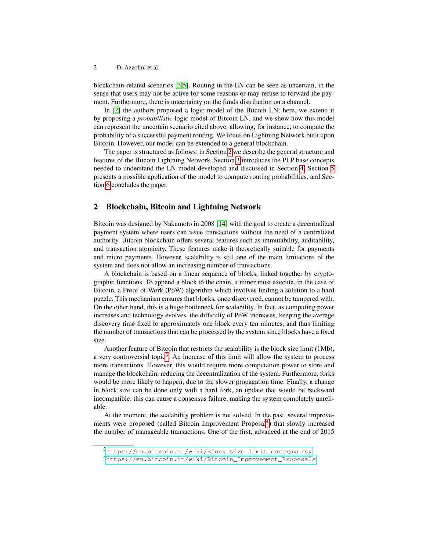#### 2 D. Azzolini et al.

blockchain-related scenarios [\[3](#page-10-4)[,5\]](#page-10-5). Routing in the LN can be seen as uncertain, in the sense that users may not be active for some reasons or may refuse to forward the payment. Furthermore, there is uncertainty on the funds distribution on a channel.

In [\[2\]](#page-10-6) the authors proposed a logic model of the Bitcoin LN; here, we extend it by proposing a *probabilistic* logic model of Bitcoin LN, and we show how this model can represent the uncertain scenario cited above, allowing, for instance, to compute the probability of a successful payment routing. We focus on Lightning Network built upon Bitcoin. However, our model can be extended to a general blockchain.

The paper is structured as follows: in Section [2](#page-1-0) we describe the general structure and features of the Bitcoin Lightning Network. Section [3](#page-2-0) introduces the PLP base concepts needed to understand the LN model developed and discussed in Section [4.](#page-4-0) Section [5](#page-5-0) presents a possible application of the model to compute routing probabilities, and Section [6](#page-9-0) concludes the paper.

### <span id="page-1-0"></span>2 Blockchain, Bitcoin and Lightning Network

Bitcoin was designed by Nakamoto in 2008 [\[14\]](#page-10-0) with the goal to create a decentralized payment system where users can issue transactions without the need of a centralized authority. Bitcoin blockchain offers several features such as immutability, auditability, and transaction atomicity. These features make it theoretically suitable for payments and micro payments. However, scalability is still one of the main limitations of the system and does not allow an increasing number of transactions.

A blockchain is based on a linear sequence of blocks, linked together by cryptographic functions. To append a block to the chain, a miner must execute, in the case of Bitcoin, a Proof of Work (PoW) algorithm which involves finding a solution to a hard puzzle. This mechanism ensures that blocks, once discovered, cannot be tampered with. On the other hand, this is a huge bottleneck for scalability. In fact, as computing power increases and technology evolves, the difficulty of PoW increases, keeping the average discovery time fixed to approximately one block every ten minutes, and thus limiting the number of transactions that can be processed by the system since blocks have a fixed size.

Another feature of Bitcoin that restricts the scalability is the block size limit (1Mb), a very controversial topic<sup>[3](#page-1-1)</sup>. An increase of this limit will allow the system to process more transactions. However, this would require more computation power to store and manage the blockchain, reducing the decentralization of the system. Furthermore, forks would be more likely to happen, due to the slower propagation time. Finally, a change in block size can be done only with a hard fork, an update that would be backward incompatible: this can cause a consensus failure, making the system completely unreliable.

At the moment, the scalability problem is not solved. In the past, several improve-ments were proposed (called Bitcoin Improvement Proposal<sup>[4](#page-1-2)</sup>) that slowly increased the number of manageable transactions. One of the first, advanced at the end of 2015

<span id="page-1-1"></span><sup>3</sup>[https://en.bitcoin.it/wiki/Block\\_size\\_limit\\_controversy](https://en.bitcoin.it/wiki/Block_size_limit_controversy)

<span id="page-1-2"></span><sup>4</sup>[https://en.bitcoin.it/wiki/Bitcoin\\_Improvement\\_Proposals](https://en.bitcoin.it/wiki/Bitcoin_Improvement_Proposals)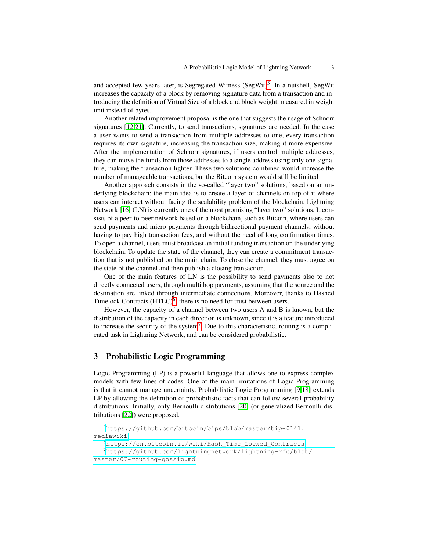and accepted few years later, is Segregated Witness (SegWit)<sup>[5](#page-2-1)</sup>. In a nutshell, SegWit increases the capacity of a block by removing signature data from a transaction and introducing the definition of Virtual Size of a block and block weight, measured in weight unit instead of bytes.

Another related improvement proposal is the one that suggests the usage of Schnorr signatures [\[12](#page-10-7)[,21\]](#page-11-2). Currently, to send transactions, signatures are needed. In the case a user wants to send a transaction from multiple addresses to one, every transaction requires its own signature, increasing the transaction size, making it more expensive. After the implementation of Schnorr signatures, if users control multiple addresses, they can move the funds from those addresses to a single address using only one signature, making the transaction lighter. These two solutions combined would increase the number of manageable transactions, but the Bitcoin system would still be limited.

Another approach consists in the so-called "layer two" solutions, based on an underlying blockchain: the main idea is to create a layer of channels on top of it where users can interact without facing the scalability problem of the blockchain. Lightning Network [\[16\]](#page-11-1) (LN) is currently one of the most promising "layer two" solutions. It consists of a peer-to-peer network based on a blockchain, such as Bitcoin, where users can send payments and micro payments through bidirectional payment channels, without having to pay high transaction fees, and without the need of long confirmation times. To open a channel, users must broadcast an initial funding transaction on the underlying blockchain. To update the state of the channel, they can create a commitment transaction that is not published on the main chain. To close the channel, they must agree on the state of the channel and then publish a closing transaction.

One of the main features of LN is the possibility to send payments also to not directly connected users, through multi hop payments, assuming that the source and the destination are linked through intermediate connections. Moreover, thanks to Hashed Timelock Contracts  $(HTLC)^6$  $(HTLC)^6$ , there is no need for trust between users.

However, the capacity of a channel between two users A and B is known, but the distribution of the capacity in each direction is unknown, since it is a feature introduced to increase the security of the system<sup>[7](#page-2-3)</sup>. Due to this characteristic, routing is a complicated task in Lightning Network, and can be considered probabilistic.

### <span id="page-2-0"></span>3 Probabilistic Logic Programming

Logic Programming (LP) is a powerful language that allows one to express complex models with few lines of codes. One of the main limitations of Logic Programming is that it cannot manage uncertainty. Probabilistic Logic Programming [\[9](#page-10-8)[,18\]](#page-11-3) extends LP by allowing the definition of probabilistic facts that can follow several probability distributions. Initially, only Bernoulli distributions [\[20\]](#page-11-4) (or generalized Bernoulli distributions [\[22\]](#page-11-5)) were proposed.

<span id="page-2-3"></span><span id="page-2-2"></span><sup>6</sup>[https://en.bitcoin.it/wiki/Hash\\_Time\\_Locked\\_Contracts](https://en.bitcoin.it/wiki/Hash_Time_Locked_Contracts)

<span id="page-2-1"></span><sup>5</sup>[https://github.com/bitcoin/bips/blob/master/bip-0141.](https://github.com/bitcoin/bips/blob/master/bip-0141.mediawiki) [mediawiki](https://github.com/bitcoin/bips/blob/master/bip-0141.mediawiki)

<sup>7</sup>[https://github.com/lightningnetwork/lightning-rfc/blob/](https://github.com/lightningnetwork/lightning-rfc/blob/master/07-routing-gossip.md) [master/07-routing-gossip.md](https://github.com/lightningnetwork/lightning-rfc/blob/master/07-routing-gossip.md)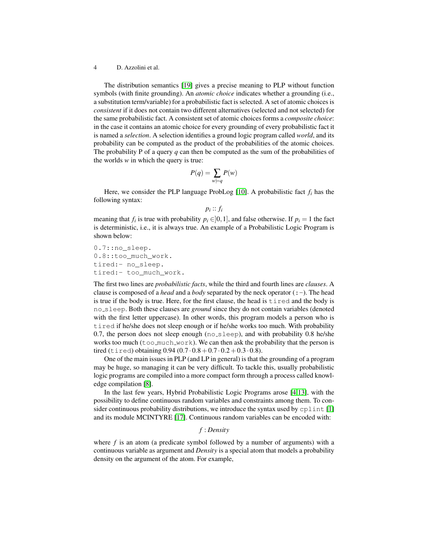#### 4 D. Azzolini et al.

The distribution semantics [\[19\]](#page-11-6) gives a precise meaning to PLP without function symbols (with finite grounding). An *atomic choice* indicates whether a grounding (i.e., a substitution term/variable) for a probabilistic fact is selected. A set of atomic choices is *consistent* if it does not contain two different alternatives (selected and not selected) for the same probabilistic fact. A consistent set of atomic choices forms a *composite choice*: in the case it contains an atomic choice for every grounding of every probabilistic fact it is named a *selection*. A selection identifies a ground logic program called *world*, and its probability can be computed as the product of the probabilities of the atomic choices. The probability P of a query *q* can then be computed as the sum of the probabilities of the worlds *w* in which the query is true:

$$
P(q) = \sum_{w \models q} P(w)
$$

Here, we consider the PLP language ProbLog  $[10]$ . A probabilistic fact  $f_i$  has the following syntax:

```
pi
:: fi
```
meaning that  $f_i$  is true with probability  $p_i \in ]0,1]$ , and false otherwise. If  $p_i = 1$  the fact is deterministic, i.e., it is always true. An example of a Probabilistic Logic Program is shown below:

0.7::no sleep. 0.8::too\_much\_work. tired:- no\_sleep. tired:- too\_much\_work.

The first two lines are *probabilistic facts*, while the third and fourth lines are *clauses*. A clause is composed of a *head* and a *body* separated by the neck operator  $(:-)$ . The head is true if the body is true. Here, for the first clause, the head is tired and the body is no sleep. Both these clauses are *ground* since they do not contain variables (denoted with the first letter uppercase). In other words, this program models a person who is tired if he/she does not sleep enough or if he/she works too much. With probability 0.7, the person does not sleep enough  $(n \circ s \leq p)$ , and with probability 0.8 he/she works too much ( $\text{to}$  much work). We can then ask the probability that the person is tired (tired) obtaining  $0.94 (0.7 \cdot 0.8 + 0.7 \cdot 0.2 + 0.3 \cdot 0.8)$ .

One of the main issues in PLP (and LP in general) is that the grounding of a program may be huge, so managing it can be very difficult. To tackle this, usually probabilistic logic programs are compiled into a more compact form through a process called knowledge compilation [\[8\]](#page-10-10).

In the last few years, Hybrid Probabilistic Logic Programs arose [\[4,](#page-10-11)[13\]](#page-10-12), with the possibility to define continuous random variables and constraints among them. To con-sider continuous probability distributions, we introduce the syntax used by cplint [\[1\]](#page-10-13) and its module MCINTYRE [\[17\]](#page-11-7). Continuous random variables can be encoded with:

#### *f* : *Density*

where *f* is an atom (a predicate symbol followed by a number of arguments) with a continuous variable as argument and *Density* is a special atom that models a probability density on the argument of the atom. For example,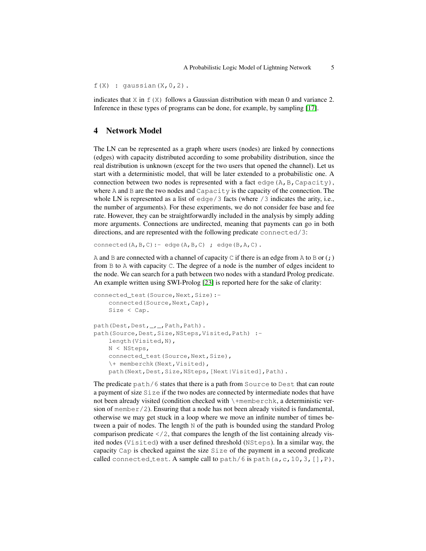$f(X)$  : gaussian(X, 0, 2).

indicates that  $X$  in  $f(X)$  follows a Gaussian distribution with mean 0 and variance 2. Inference in these types of programs can be done, for example, by sampling [\[17\]](#page-11-7).

# <span id="page-4-0"></span>4 Network Model

The LN can be represented as a graph where users (nodes) are linked by connections (edges) with capacity distributed according to some probability distribution, since the real distribution is unknown (except for the two users that opened the channel). Let us start with a deterministic model, that will be later extended to a probabilistic one. A connection between two nodes is represented with a fact edge (A, B, Capacity), where A and B are the two nodes and  $\text{Capacity}$  is the capacity of the connection. The whole LN is represented as a list of edge/3 facts (where /3 indicates the arity, i.e., the number of arguments). For these experiments, we do not consider fee base and fee rate. However, they can be straightforwardly included in the analysis by simply adding more arguments. Connections are undirected, meaning that payments can go in both directions, and are represented with the following predicate connected/3:

connected(A,B,C):- edge(A,B,C) ; edge(B,A,C).

A and B are connected with a channel of capacity C if there is an edge from A to B or  $(i)$ from B to A with capacity C. The degree of a node is the number of edges incident to the node. We can search for a path between two nodes with a standard Prolog predicate. An example written using SWI-Prolog [\[23\]](#page-11-8) is reported here for the sake of clarity:

```
connected_test(Source, Next, Size):-
    connected(Source, Next, Cap),
    Size < Cap.
path(Dest,Dest, _, _, Path, Path).
path(Source,Dest,Size,NSteps,Visited,Path) :-
    length(Visited,N),
    N < NSteps,
    connected_test(Source, Next, Size),
    \+ memberchk(Next,Visited),
    path(Next,Dest,Size,NSteps, [Next|Visited], Path).
```
The predicate path/6 states that there is a path from Source to Dest that can route a payment of size Size if the two nodes are connected by intermediate nodes that have not been already visited (condition checked with \+memberchk, a deterministic version of member/2). Ensuring that a node has not been already visited is fundamental, otherwise we may get stuck in a loop where we move an infinite number of times between a pair of nodes. The length  $N$  of the path is bounded using the standard Prolog comparison predicate  $\langle 2 \rangle$ , that compares the length of the list containing already visited nodes (Visited) with a user defined threshold (NSteps). In a similar way, the capacity Cap is checked against the size Size of the payment in a second predicate called connected test. A sample call to path/6 is path(a, c, 10, 3,  $[]$ , P),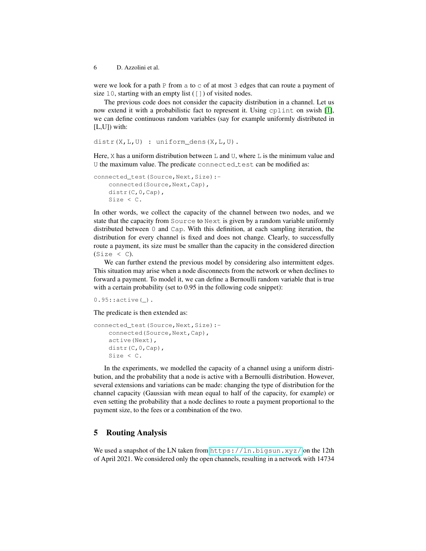6 D. Azzolini et al.

were we look for a path P from a to  $\circ$  of at most 3 edges that can route a payment of size 10, starting with an empty list  $(1)$  of visited nodes.

The previous code does not consider the capacity distribution in a channel. Let us now extend it with a probabilistic fact to represent it. Using cplint on swish [\[1\]](#page-10-13), we can define continuous random variables (say for example uniformly distributed in [L,U]) with:

```
distr(X,L,U) : uniform_dens(X,L,U).
```
Here, X has a uniform distribution between  $\mathbb L$  and  $\mathbb U$ , where  $\mathbb L$  is the minimum value and U the maximum value. The predicate connected test can be modified as:

```
connected_test(Source,Next,Size):-
    connected(Source, Next, Cap),
    distr(C, 0, Cap),
    Size < C.
```
In other words, we collect the capacity of the channel between two nodes, and we state that the capacity from Source to Next is given by a random variable uniformly distributed between 0 and Cap. With this definition, at each sampling iteration, the distribution for every channel is fixed and does not change. Clearly, to successfully route a payment, its size must be smaller than the capacity in the considered direction  $(Size < C)$ .

We can further extend the previous model by considering also intermittent edges. This situation may arise when a node disconnects from the network or when declines to forward a payment. To model it, we can define a Bernoulli random variable that is true with a certain probability (set to 0.95 in the following code snippet):

 $0.95$ :: active $(\_)$ .

The predicate is then extended as:

```
connected_test(Source,Next,Size):-
    connected(Source,Next,Cap),
   active(Next),
    distr(C, 0, Cap),
    Size < C.
```
In the experiments, we modelled the capacity of a channel using a uniform distribution, and the probability that a node is active with a Bernoulli distribution. However, several extensions and variations can be made: changing the type of distribution for the channel capacity (Gaussian with mean equal to half of the capacity, for example) or even setting the probability that a node declines to route a payment proportional to the payment size, to the fees or a combination of the two.

# <span id="page-5-0"></span>5 Routing Analysis

We used a snapshot of the LN taken from <https://ln.bigsun.xyz/> on the 12th of April 2021. We considered only the open channels, resulting in a network with 14734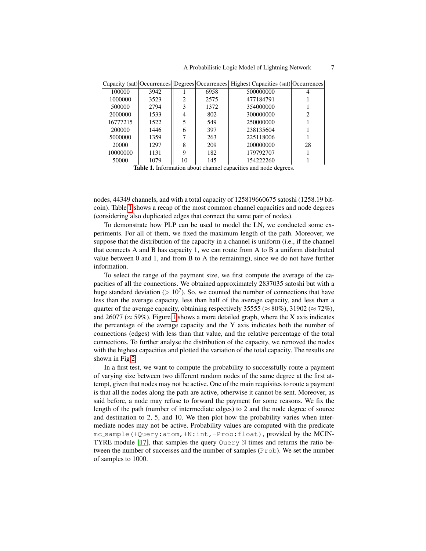|          |      |    |      | Capacity (sat) Occurrences Degrees Occurrences Highest Capacities (sat) Occurrences |    |
|----------|------|----|------|-------------------------------------------------------------------------------------|----|
| 100000   | 3942 |    | 6958 | 500000000                                                                           |    |
| 1000000  | 3523 | 2  | 2575 | 477184791                                                                           |    |
| 500000   | 2794 | 3  | 1372 | 354000000                                                                           |    |
| 2000000  | 1533 | 4  | 802  | 300000000                                                                           |    |
| 16777215 | 1522 |    | 549  | 250000000                                                                           |    |
| 200000   | 1446 | 6  | 397  | 238135604                                                                           |    |
| 5000000  | 1359 |    | 263  | 225118006                                                                           |    |
| 20000    | 1297 | 8  | 209  | 200000000                                                                           | 28 |
| 10000000 | 1131 | Q  | 182  | 179792707                                                                           |    |
| 50000    | 1079 | 10 | 145  | 154222260                                                                           |    |

<span id="page-6-0"></span>Table 1. Information about channel capacities and node degrees.

nodes, 44349 channels, and with a total capacity of 125819660675 satoshi (1258.19 bitcoin). Table [1](#page-6-0) shows a recap of the most common channel capacities and node degrees (considering also duplicated edges that connect the same pair of nodes).

To demonstrate how PLP can be used to model the LN, we conducted some experiments. For all of them, we fixed the maximum length of the path. Moreover, we suppose that the distribution of the capacity in a channel is uniform (i.e., if the channel that connects A and B has capacity 1, we can route from A to B a uniform distributed value between 0 and 1, and from B to A the remaining), since we do not have further information.

To select the range of the payment size, we first compute the average of the capacities of all the connections. We obtained approximately 2837035 satoshi but with a huge standard deviation ( $> 10<sup>7</sup>$ ). So, we counted the number of connections that have less than the average capacity, less than half of the average capacity, and less than a quarter of the average capacity, obtaining respectively 35555 ( $\approx 80\%$ ), 31902 ( $\approx 72\%$ ), and 26077 ( $\approx$  59%). Figure [1](#page-7-0) shows a more detailed graph, where the X axis indicates the percentage of the average capacity and the Y axis indicates both the number of connections (edges) with less than that value, and the relative percentage of the total connections. To further analyse the distribution of the capacity, we removed the nodes with the highest capacities and plotted the variation of the total capacity. The results are shown in Fig [2.](#page-7-1)

In a first test, we want to compute the probability to successfully route a payment of varying size between two different random nodes of the same degree at the first attempt, given that nodes may not be active. One of the main requisites to route a payment is that all the nodes along the path are active, otherwise it cannot be sent. Moreover, as said before, a node may refuse to forward the payment for some reasons. We fix the length of the path (number of intermediate edges) to 2 and the node degree of source and destination to 2, 5, and 10. We then plot how the probability varies when intermediate nodes may not be active. Probability values are computed with the predicate mc\_sample(+Query:atom,+N:int,-Prob:float), provided by the MCIN-TYRE module [\[17\]](#page-11-7), that samples the query  $\mathbb{Q}$ uery N times and returns the ratio between the number of successes and the number of samples (Prob). We set the number of samples to 1000.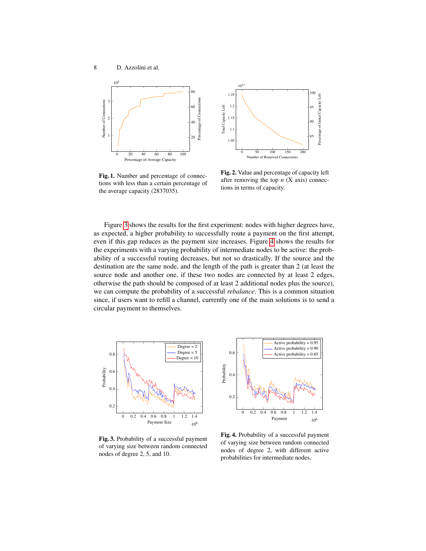

Fig. 1. Number and percentage of connections with less than a certain percentage of the average capacity (2837035).



<span id="page-7-1"></span><span id="page-7-0"></span>Fig. 2. Value and percentage of capacity left after removing the top *n* (X axis) connections in terms of capacity.

Figure [3](#page-7-2) shows the results for the first experiment: nodes with higher degrees have, as expected, a higher probability to successfully route a payment on the first attempt, even if this gap reduces as the payment size increases. Figure [4](#page-7-3) shows the results for the experiments with a varying probability of intermediate nodes to be active: the probability of a successful routing decreases, but not so drastically. If the source and the destination are the same node, and the length of the path is greater than 2 (at least the source node and another one, if these two nodes are connected by at least 2 edges, otherwise the path should be composed of at least 2 additional nodes plus the source), we can compute the probability of a successful *rebalance*. This is a common situation since, if users want to refill a channel, currently one of the main solutions is to send a circular payment to themselves.



Fig. 3. Probability of a successful payment of varying size between random connected nodes of degree 2, 5, and 10.



<span id="page-7-3"></span><span id="page-7-2"></span>Fig. 4. Probability of a successful payment of varying size between random connected nodes of degree 2, with different active probabilities for intermediate nodes.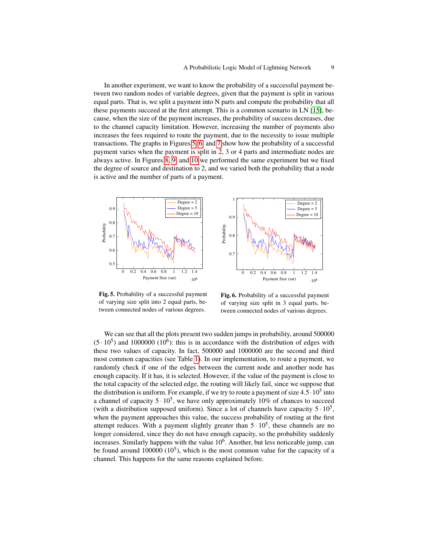In another experiment, we want to know the probability of a successful payment between two random nodes of variable degrees, given that the payment is split in various equal parts. That is, we split a payment into N parts and compute the probability that all these payments succeed at the first attempt. This is a common scenario in LN [\[15\]](#page-11-9), because, when the size of the payment increases, the probability of success decreases, due to the channel capacity limitation. However, increasing the number of payments also increases the fees required to route the payment, due to the necessity to issue multiple transactions. The graphs in Figures [5,](#page-8-0) [6,](#page-8-1) and [7](#page-9-1) show how the probability of a successful payment varies when the payment is split in 2, 3 or 4 parts and intermediate nodes are always active. In Figures [8,](#page-9-2) [9,](#page-9-3) and [10](#page-9-4) we performed the same experiment but we fixed the degree of source and destination to 2, and we varied both the probability that a node is active and the number of parts of a payment.





Fig. 5. Probability of a successful payment of varying size split into 2 equal parts, between connected nodes of various degrees.

<span id="page-8-1"></span><span id="page-8-0"></span>Fig. 6. Probability of a successful payment of varying size split in 3 equal parts, between connected nodes of various degrees.

We can see that all the plots present two sudden jumps in probability, around 500000  $(5 \cdot 10^5)$  and 1000000 (10<sup>6</sup>): this is in accordance with the distribution of edges with these two values of capacity. In fact, 500000 and 1000000 are the second and third most common capacities (see Table [1\)](#page-6-0). In our implementation, to route a payment, we randomly check if one of the edges between the current node and another node has enough capacity. If it has, it is selected. However, if the value of the payment is close to the total capacity of the selected edge, the routing will likely fail, since we suppose that the distribution is uniform. For example, if we try to route a payment of size  $4.5 \cdot 10^5$  into a channel of capacity  $5 \cdot 10^5$ , we have only approximately 10% of chances to succeed (with a distribution supposed uniform). Since a lot of channels have capacity  $5 \cdot 10^5$ , when the payment approaches this value, the success probability of routing at the first attempt reduces. With a payment slightly greater than  $5 \cdot 10^5$ , these channels are no longer considered, since they do not have enough capacity, so the probability suddenly increases. Similarly happens with the value  $10<sup>6</sup>$ . Another, but less noticeable jump, can be found around  $100000 (10^5)$ , which is the most common value for the capacity of a channel. This happens for the same reasons explained before.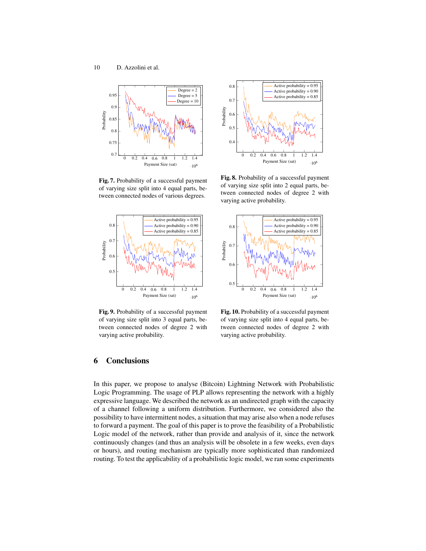

Fig. 7. Probability of a successful payment of varying size split into 4 equal parts, between connected nodes of various degrees.



Fig. 9. Probability of a successful payment of varying size split into 3 equal parts, between connected nodes of degree 2 with varying active probability.



<span id="page-9-2"></span><span id="page-9-1"></span>Fig. 8. Probability of a successful payment of varying size split into 2 equal parts, between connected nodes of degree 2 with varying active probability.



<span id="page-9-4"></span><span id="page-9-3"></span>Fig. 10. Probability of a successful payment of varying size split into 4 equal parts, between connected nodes of degree 2 with varying active probability.

### <span id="page-9-0"></span>6 Conclusions

In this paper, we propose to analyse (Bitcoin) Lightning Network with Probabilistic Logic Programming. The usage of PLP allows representing the network with a highly expressive language. We described the network as an undirected graph with the capacity of a channel following a uniform distribution. Furthermore, we considered also the possibility to have intermittent nodes, a situation that may arise also when a node refuses to forward a payment. The goal of this paper is to prove the feasibility of a Probabilistic Logic model of the network, rather than provide and analysis of it, since the network continuously changes (and thus an analysis will be obsolete in a few weeks, even days or hours), and routing mechanism are typically more sophisticated than randomized routing. To test the applicability of a probabilistic logic model, we ran some experiments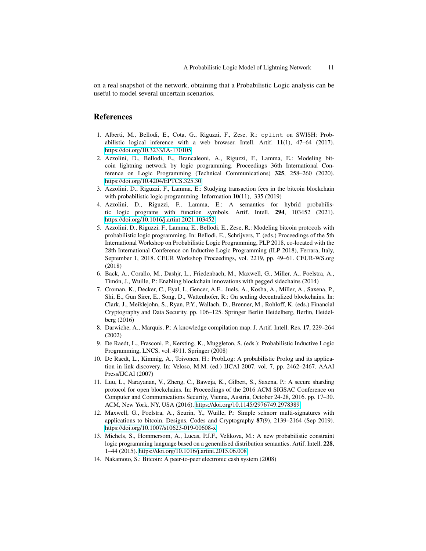on a real snapshot of the network, obtaining that a Probabilistic Logic analysis can be useful to model several uncertain scenarios.

#### References

- <span id="page-10-13"></span>1. Alberti, M., Bellodi, E., Cota, G., Riguzzi, F., Zese, R.: cplint on SWISH: Probabilistic logical inference with a web browser. Intell. Artif.  $11(1)$ ,  $47-64$  (2017). <https://doi.org/10.3233/IA-170105>
- <span id="page-10-6"></span>2. Azzolini, D., Bellodi, E., Brancaleoni, A., Riguzzi, F., Lamma, E.: Modeling bitcoin lightning network by logic programming. Proceedings 36th International Conference on Logic Programming (Technical Communications) 325, 258–260 (2020). <https://doi.org/10.4204/EPTCS.325.30>
- <span id="page-10-4"></span>3. Azzolini, D., Riguzzi, F., Lamma, E.: Studying transaction fees in the bitcoin blockchain with probabilistic logic programming. Information 10(11), 335 (2019)
- <span id="page-10-11"></span>4. Azzolini, D., Riguzzi, F., Lamma, E.: A semantics for hybrid probabilistic logic programs with function symbols. Artif. Intell. 294, 103452 (2021). <https://doi.org/10.1016/j.artint.2021.103452>
- <span id="page-10-5"></span>5. Azzolini, D., Riguzzi, F., Lamma, E., Bellodi, E., Zese, R.: Modeling bitcoin protocols with probabilistic logic programming. In: Bellodi, E., Schrijvers, T. (eds.) Proceedings of the 5th International Workshop on Probabilistic Logic Programming, PLP 2018, co-located with the 28th International Conference on Inductive Logic Programming (ILP 2018), Ferrara, Italy, September 1, 2018. CEUR Workshop Proceedings, vol. 2219, pp. 49–61. CEUR-WS.org (2018)
- <span id="page-10-3"></span>6. Back, A., Corallo, M., Dashjr, L., Friedenbach, M., Maxwell, G., Miller, A., Poelstra, A., Timón, J., Wuille, P.: Enabling blockchain innovations with pegged sidechains (2014)
- <span id="page-10-1"></span>7. Croman, K., Decker, C., Eyal, I., Gencer, A.E., Juels, A., Kosba, A., Miller, A., Saxena, P., Shi, E., Gün Sirer, E., Song, D., Wattenhofer, R.: On scaling decentralized blockchains. In: Clark, J., Meiklejohn, S., Ryan, P.Y., Wallach, D., Brenner, M., Rohloff, K. (eds.) Financial Cryptography and Data Security. pp. 106–125. Springer Berlin Heidelberg, Berlin, Heidelberg (2016)
- <span id="page-10-10"></span>8. Darwiche, A., Marquis, P.: A knowledge compilation map. J. Artif. Intell. Res. 17, 229–264 (2002)
- <span id="page-10-8"></span>9. De Raedt, L., Frasconi, P., Kersting, K., Muggleton, S. (eds.): Probabilistic Inductive Logic Programming, LNCS, vol. 4911. Springer (2008)
- <span id="page-10-9"></span>10. De Raedt, L., Kimmig, A., Toivonen, H.: ProbLog: A probabilistic Prolog and its application in link discovery. In: Veloso, M.M. (ed.) IJCAI 2007. vol. 7, pp. 2462–2467. AAAI Press/IJCAI (2007)
- <span id="page-10-2"></span>11. Luu, L., Narayanan, V., Zheng, C., Baweja, K., Gilbert, S., Saxena, P.: A secure sharding protocol for open blockchains. In: Proceedings of the 2016 ACM SIGSAC Conference on Computer and Communications Security, Vienna, Austria, October 24-28, 2016. pp. 17–30. ACM, New York, NY, USA (2016).<https://doi.org/10.1145/2976749.2978389>
- <span id="page-10-7"></span>12. Maxwell, G., Poelstra, A., Seurin, Y., Wuille, P.: Simple schnorr multi-signatures with applications to bitcoin. Designs, Codes and Cryptography 87(9), 2139–2164 (Sep 2019). <https://doi.org/10.1007/s10623-019-00608-x>
- <span id="page-10-12"></span>13. Michels, S., Hommersom, A., Lucas, P.J.F., Velikova, M.: A new probabilistic constraint logic programming language based on a generalised distribution semantics. Artif. Intell. 228, 1–44 (2015).<https://doi.org/10.1016/j.artint.2015.06.008>
- <span id="page-10-0"></span>14. Nakamoto, S.: Bitcoin: A peer-to-peer electronic cash system (2008)